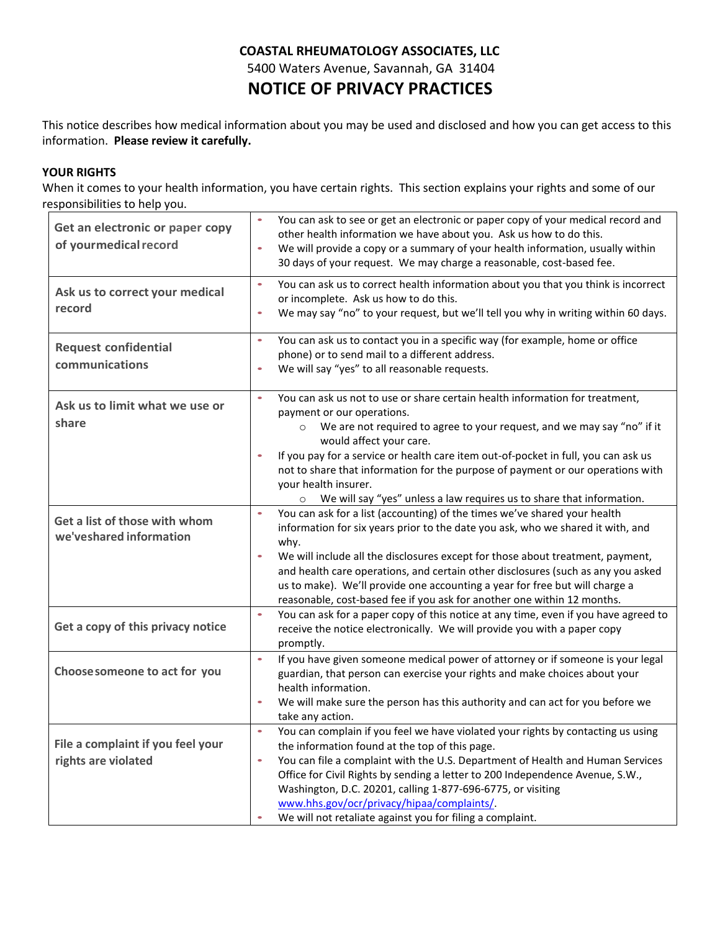# **COASTAL RHEUMATOLOGY ASSOCIATES, LLC** 5400 Waters Avenue, Savannah, GA 31404 **NOTICE OF PRIVACY PRACTICES**

This notice describes how medical information about you may be used and disclosed and how you can get access to this information. **Please review it carefully.**

## **YOUR RIGHTS**

When it comes to your health information, you have certain rights. This section explains your rights and some of our responsibilities to help you.

| Get an electronic or paper copy<br>of yourmedical record | You can ask to see or get an electronic or paper copy of your medical record and<br>other health information we have about you. Ask us how to do this.<br>We will provide a copy or a summary of your health information, usually within<br>$\bullet$<br>30 days of your request. We may charge a reasonable, cost-based fee.                                                                                                                                                                                                     |
|----------------------------------------------------------|-----------------------------------------------------------------------------------------------------------------------------------------------------------------------------------------------------------------------------------------------------------------------------------------------------------------------------------------------------------------------------------------------------------------------------------------------------------------------------------------------------------------------------------|
| Ask us to correct your medical<br>record                 | You can ask us to correct health information about you that you think is incorrect<br>$\bullet$<br>or incomplete. Ask us how to do this.<br>We may say "no" to your request, but we'll tell you why in writing within 60 days.<br>$\bullet$                                                                                                                                                                                                                                                                                       |
| <b>Request confidential</b><br>communications            | You can ask us to contact you in a specific way (for example, home or office<br>$\bullet$<br>phone) or to send mail to a different address.<br>We will say "yes" to all reasonable requests.<br>$\bullet$                                                                                                                                                                                                                                                                                                                         |
| Ask us to limit what we use or<br>share                  | You can ask us not to use or share certain health information for treatment,<br>$\bullet$<br>payment or our operations.<br>We are not required to agree to your request, and we may say "no" if it<br>$\circ$<br>would affect your care.<br>If you pay for a service or health care item out-of-pocket in full, you can ask us<br>$\bullet$<br>not to share that information for the purpose of payment or our operations with<br>your health insurer.<br>O We will say "yes" unless a law requires us to share that information. |
| Get a list of those with whom<br>we'veshared information | You can ask for a list (accounting) of the times we've shared your health<br>$\bullet$<br>information for six years prior to the date you ask, who we shared it with, and<br>why.<br>We will include all the disclosures except for those about treatment, payment,<br>$\bullet$<br>and health care operations, and certain other disclosures (such as any you asked<br>us to make). We'll provide one accounting a year for free but will charge a<br>reasonable, cost-based fee if you ask for another one within 12 months.    |
| Get a copy of this privacy notice                        | You can ask for a paper copy of this notice at any time, even if you have agreed to<br>$\bullet$<br>receive the notice electronically. We will provide you with a paper copy<br>promptly.                                                                                                                                                                                                                                                                                                                                         |
| Choose someone to act for you                            | $\bullet$<br>If you have given someone medical power of attorney or if someone is your legal<br>guardian, that person can exercise your rights and make choices about your<br>health information.<br>We will make sure the person has this authority and can act for you before we<br>$\bullet$<br>take any action.                                                                                                                                                                                                               |
| File a complaint if you feel your<br>rights are violated | You can complain if you feel we have violated your rights by contacting us using<br>$\bullet$<br>the information found at the top of this page.<br>You can file a complaint with the U.S. Department of Health and Human Services<br>$\bullet$<br>Office for Civil Rights by sending a letter to 200 Independence Avenue, S.W.,<br>Washington, D.C. 20201, calling 1-877-696-6775, or visiting<br>www.hhs.gov/ocr/privacy/hipaa/complaints/<br>We will not retaliate against you for filing a complaint.                          |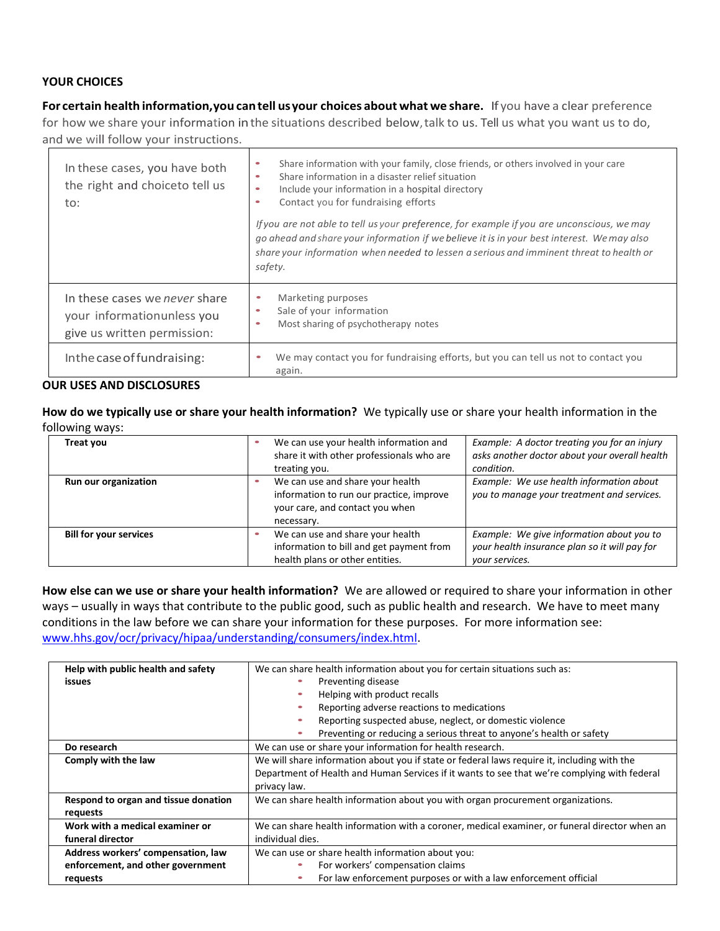## **YOUR CHOICES**

**For certain health information,you cantell usyour choices about what we share.** If you have a clear preference for how we share your information inthe situations described below,talk to us. Tell us what you want us to do, and we will follow your instructions.

| In these cases, you have both<br>the right and choiceto tell us<br>to:                      | Share information with your family, close friends, or others involved in your care<br>۰<br>Share information in a disaster relief situation<br>$\bullet$<br>Include your information in a hospital directory<br>$\bullet$<br>Contact you for fundraising efforts<br>$\bullet$<br>If you are not able to tell us your preference, for example if you are unconscious, we may<br>go ahead and share your information if we believe it is in your best interest. We may also<br>share your information when needed to lessen a serious and imminent threat to health or<br>safety. |
|---------------------------------------------------------------------------------------------|---------------------------------------------------------------------------------------------------------------------------------------------------------------------------------------------------------------------------------------------------------------------------------------------------------------------------------------------------------------------------------------------------------------------------------------------------------------------------------------------------------------------------------------------------------------------------------|
| In these cases we never share<br>your information unless you<br>give us written permission: | Marketing purposes<br>Sale of your information<br>Most sharing of psychotherapy notes<br>$\bullet$                                                                                                                                                                                                                                                                                                                                                                                                                                                                              |
| In the case of fundraising:                                                                 | We may contact you for fundraising efforts, but you can tell us not to contact you<br>again.                                                                                                                                                                                                                                                                                                                                                                                                                                                                                    |

#### **OUR USES AND DISCLOSURES**

**How do we typically use or share your health information?** We typically use or share your health information in the following ways:

| Treat you                     | We can use your health information and<br>share it with other professionals who are<br>treating you.                          | Example: A doctor treating you for an injury<br>asks another doctor about your overall health<br>condition.  |
|-------------------------------|-------------------------------------------------------------------------------------------------------------------------------|--------------------------------------------------------------------------------------------------------------|
| Run our organization          | We can use and share your health<br>information to run our practice, improve<br>your care, and contact you when<br>necessary. | Example: We use health information about<br>you to manage your treatment and services.                       |
| <b>Bill for your services</b> | We can use and share your health<br>information to bill and get payment from<br>health plans or other entities.               | Example: We give information about you to<br>your health insurance plan so it will pay for<br>vour services. |

**How else can we use or share your health information?** We are allowed or required to share your information in other ways – usually in ways that contribute to the public good, such as public health and research. We have to meet many conditions in the law before we can share your information for these purposes. For more information see: [www.hhs.gov/ocr/privacy/hipaa/understanding/consumers/index.html.](http://www.hhs.gov/ocr/privacy/hipaa/understanding/consumers/index.html)

| Help with public health and safety   | We can share health information about you for certain situations such as:                     |  |  |
|--------------------------------------|-----------------------------------------------------------------------------------------------|--|--|
| issues                               | Preventing disease                                                                            |  |  |
|                                      | Helping with product recalls                                                                  |  |  |
|                                      | Reporting adverse reactions to medications                                                    |  |  |
|                                      | Reporting suspected abuse, neglect, or domestic violence                                      |  |  |
|                                      | Preventing or reducing a serious threat to anyone's health or safety                          |  |  |
| Do research                          | We can use or share your information for health research.                                     |  |  |
| Comply with the law                  | We will share information about you if state or federal laws require it, including with the   |  |  |
|                                      | Department of Health and Human Services if it wants to see that we're complying with federal  |  |  |
|                                      | privacy law.                                                                                  |  |  |
| Respond to organ and tissue donation | We can share health information about you with organ procurement organizations.               |  |  |
| requests                             |                                                                                               |  |  |
| Work with a medical examiner or      | We can share health information with a coroner, medical examiner, or funeral director when an |  |  |
| funeral director                     | individual dies.                                                                              |  |  |
| Address workers' compensation, law   | We can use or share health information about you:                                             |  |  |
| enforcement, and other government    | For workers' compensation claims                                                              |  |  |
| requests                             | For law enforcement purposes or with a law enforcement official                               |  |  |